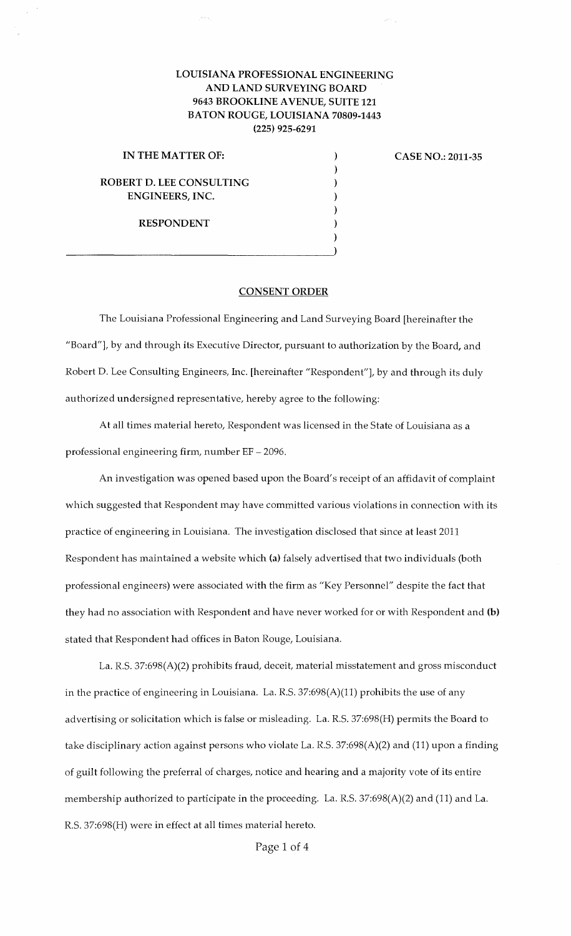## LOUISIANA PROFESSIONAL ENGINEERING AND LAND SURVEYING BOARD 9643 BROOKLINE A VENUE, SUITE 121 BATON ROUGE, LOUISIANA 70809-1443 (225) 925-6291

) ) ) ) ) ) )

IN THE MATTER OF: ROBERT D. LEE CONSULTING ENGINEERS, INC. RESPONDENT

 $\overline{\phantom{a}}$ 

CASE NO.: 2011-35

 $\mathcal{P}^{(1)}$  .

## CONSENT ORDER

The Louisiana Professional Engineering and Land Surveying Board [hereinafter the "Board"), by and through its Executive Director, pursuant to authorization by the Board, and Robert D. Lee Consulting Engineers, Inc. [hereinafter "Respondent"], by and through its duly authorized undersigned representative, hereby agree to the following:

At all times material hereto, Respondent was licensed in the State of Louisiana as a professional engineering firm, number EF- 2096.

An investigation was opened based upon the Board's receipt of an affidavit of complaint which suggested that Respondent may have committed various violations in connection with its practice of engineering in Louisiana. The investigation disclosed that since at least 2011 Respondent has maintained a website which (a) falsely advertised that two individuals (both professional engineers) were associated with the firm as "Key Personnel" despite the fact that they had no association with Respondent and have never worked for or with Respondent and (b) stated that Respondent had offices in Baton Rouge, Louisiana.

La. R.S. 37:698(A)(2) prohibits fraud, deceit, material misstatement and gross misconduct in the practice of engineering in Louisiana. La. R.S. 37:698(A)(11) prohibits the use of any advertising or solicitation which is false or misleading. La. R.S. 37:698(H) permits the Board to take disciplinary action against persons who violate La. R.S. 37:698(A)(2) and (11) upon a finding of guilt following the preferral of charges, notice and hearing and a majority vote of its entire membership authorized to participate in the proceeding. La. R.S. 37:698(A)(2) and (11) and La. R.S. 37:698(H) were in effect at all times material hereto.

Page 1 of 4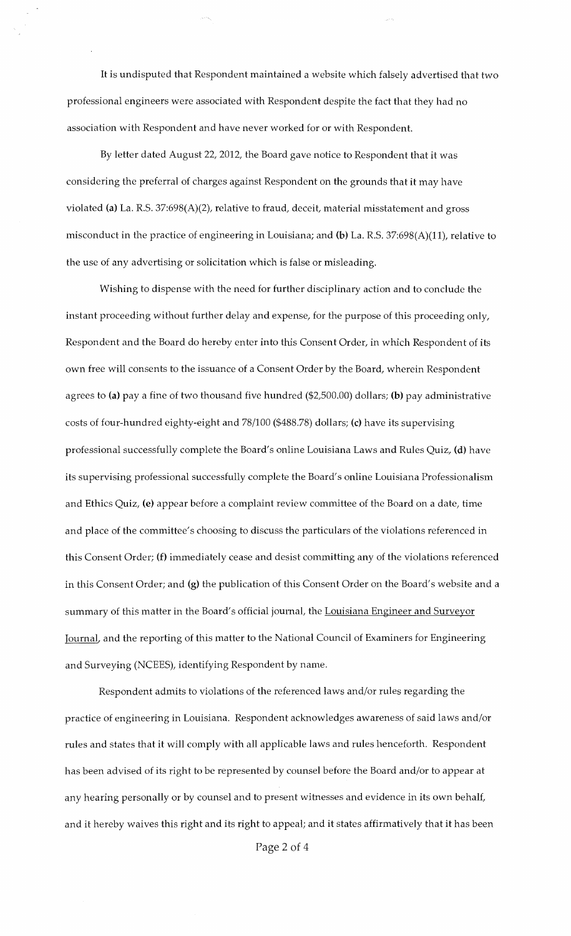It is undisputed that Respondent maintained a website which falsely advertised that two professional engineers were associated with Respondent despite the fact that they had no association with Respondent and have never worked for or with Respondent.

By letter dated August 22, 2012, the Board gave notice to Respondent that it was considering the preferral of charges against Respondent on the grounds that it may have violated (a) La. R.S. 37:698(A)(2), relative to fraud, deceit, material misstatement and gross misconduct in the practice of engineering in Louisiana; and (b) La. R.S. 37:698(A)(11), relative to the use of any advertising or solicitation which is false or misleading.

Wishing to dispense with the need for further disciplinary action and to conclude the instant proceeding without further delay and expense, for the purpose of this proceeding only, Respondent and the Board do hereby enter into this Consent Order, in which Respondent of its own free will consents to the issuance of a Consent Order by the Board, wherein Respondent agrees to (a) pay a fine of two thousand five hundred (\$2,500.00) dollars; (b) pay administrative costs of four-hundred eighty-eight and 78/100 (\$488.78) dollars; (c) have its supervising professional successfully complete the Board's online Louisiana Laws and Rules Quiz, (d) have its supervising professional successfully complete the Board's online Louisiana Professionalism and Ethics Quiz, (e) appear before a complaint review committee of the Board on a date, time and place of the committee's choosing to discuss the particulars of the violations referenced in this Consent Order; (f) immediately cease and desist committing any of the violations referenced in this Consent Order; and (g) the publication of this Consent Order on the Board's website and a summary of this matter in the Board's official journal, the Louisiana Engineer and Surveyor Journal, and the reporting of this matter to the National Council of Examiners for Engineering and Surveying (NCEES), identifying Respondent by name.

Respondent admits to violations of the referenced laws and/or rules regarding the practice of engineering in Louisiana. Respondent acknowledges awareness of said laws and/or rules and states that it will comply with all applicable laws and rules henceforth. Respondent has been advised of its right to be represented by counsel before the Board and/or to appear at any hearing personally or by counsel and to present witnesses and evidence in its own behalf, and it hereby waives this right and its right to appeal; and it states affirmatively that it has been

Page 2 of 4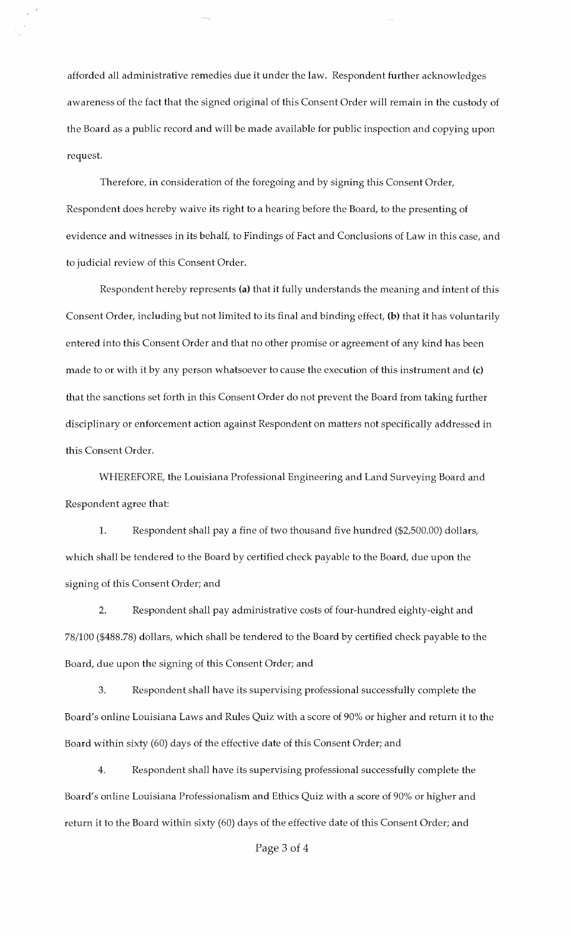afforded all administrative remedies due it under the law. Respondent further acknowledges awareness of the fact that the signed original of this Consent Order will remain in the custody of the Board as a public record and will be made available for public inspection and copying upon request.

Therefore, in consideration of the foregoing and by signing this Consent Order, Respondent does hereby waive its right to a hearing before the Board, to the presenting of evidence and witnesses in its behalf, to Findings of Fact and Conclusions of Law in this case, and to judicial review of this Consent Order.

Respondent hereby represents (a) that it fully understands the meaning and intent of this Consent Order, including but not limited to its final and binding effect, (b) that it has voluntarily entered into this Consent Order and that no other promise or agreement of any kind has been made to or with it by any person whatsoever to cause the execution of this instrument and (c) that the sanctions set forth in this Consent Order do not prevent the Board from taking further disciplinary or enforcement action against Respondent on matters not specifically addressed in this Consent Order.

WHEREFORE, the Louisiana Professional Engineering and Land Surveying Board and Respondent agree that:

1. Respondent shall pay a fine of two thousand five hundred (\$2,500.00) dollars, which shall be tendered to the Board by certified check payable to the Board, due upon the signing of this Consent Order; and

2. Respondent shall pay administrative costs of four-hundred eighty-eight and 78/100 (\$488.78) dollars, which shall be tendered to the Board by certified check payable to the Board, due upon the signing of this Consent Order; and

3. Respondent shall have its supervising professional successfully complete the Board's online Louisiana Laws and Rules Quiz with a score of 90% or higher and return it to the Board within sixty (60) days of the effective date of this Consent Order; and

4. Respondent shall have its supervising professional successfully complete the Board's online Louisiana Professionalism and Ethics Quiz with a score of 90% or higher and return it to the Board within sixty (60) days of the effective date of this Consent Order; and

## Page 3 of 4